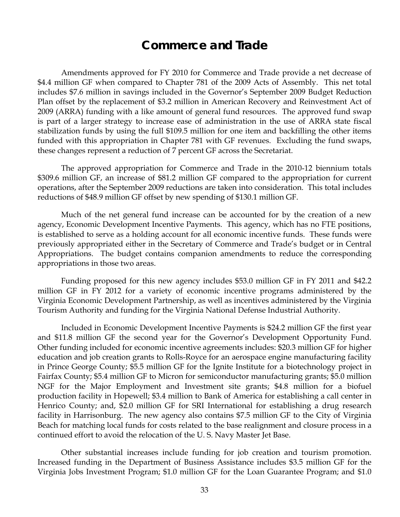# **Commerce and Trade**

 Amendments approved for FY 2010 for Commerce and Trade provide a net decrease of \$4.4 million GF when compared to Chapter 781 of the 2009 Acts of Assembly. This net total includes \$7.6 million in savings included in the Governor's September 2009 Budget Reduction Plan offset by the replacement of \$3.2 million in American Recovery and Reinvestment Act of 2009 (ARRA) funding with a like amount of general fund resources. The approved fund swap is part of a larger strategy to increase ease of administration in the use of ARRA state fiscal stabilization funds by using the full \$109.5 million for one item and backfilling the other items funded with this appropriation in Chapter 781 with GF revenues. Excluding the fund swaps, these changes represent a reduction of 7 percent GF across the Secretariat.

The approved appropriation for Commerce and Trade in the 2010-12 biennium totals \$309.6 million GF, an increase of \$81.2 million GF compared to the appropriation for current operations, after the September 2009 reductions are taken into consideration. This total includes reductions of \$48.9 million GF offset by new spending of \$130.1 million GF.

 Much of the net general fund increase can be accounted for by the creation of a new agency, Economic Development Incentive Payments. This agency, which has no FTE positions, is established to serve as a holding account for all economic incentive funds. These funds were previously appropriated either in the Secretary of Commerce and Trade's budget or in Central Appropriations. The budget contains companion amendments to reduce the corresponding appropriations in those two areas.

Funding proposed for this new agency includes \$53.0 million GF in FY 2011 and \$42.2 million GF in FY 2012 for a variety of economic incentive programs administered by the Virginia Economic Development Partnership, as well as incentives administered by the Virginia Tourism Authority and funding for the Virginia National Defense Industrial Authority.

 Included in Economic Development Incentive Payments is \$24.2 million GF the first year and \$11.8 million GF the second year for the Governor's Development Opportunity Fund. Other funding included for economic incentive agreements includes: \$20.3 million GF for higher education and job creation grants to Rolls-Royce for an aerospace engine manufacturing facility in Prince George County; \$5.5 million GF for the Ignite Institute for a biotechnology project in Fairfax County; \$5.4 million GF to Micron for semiconductor manufacturing grants; \$5.0 million NGF for the Major Employment and Investment site grants; \$4.8 million for a biofuel production facility in Hopewell; \$3.4 million to Bank of America for establishing a call center in Henrico County; and, \$2.0 million GF for SRI International for establishing a drug research facility in Harrisonburg. The new agency also contains \$7.5 million GF to the City of Virginia Beach for matching local funds for costs related to the base realignment and closure process in a continued effort to avoid the relocation of the U. S. Navy Master Jet Base.

 Other substantial increases include funding for job creation and tourism promotion. Increased funding in the Department of Business Assistance includes \$3.5 million GF for the Virginia Jobs Investment Program; \$1.0 million GF for the Loan Guarantee Program; and \$1.0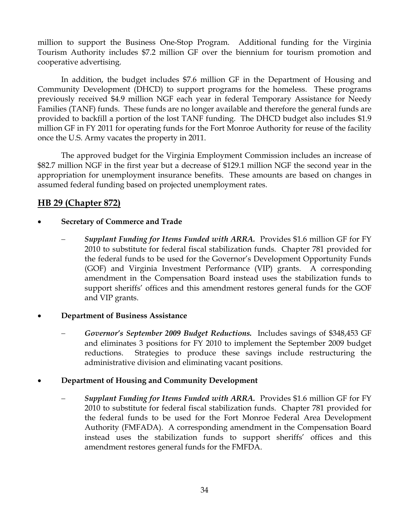million to support the Business One-Stop Program. Additional funding for the Virginia Tourism Authority includes \$7.2 million GF over the biennium for tourism promotion and cooperative advertising.

In addition, the budget includes \$7.6 million GF in the Department of Housing and Community Development (DHCD) to support programs for the homeless. These programs previously received \$4.9 million NGF each year in federal Temporary Assistance for Needy Families (TANF) funds. These funds are no longer available and therefore the general funds are provided to backfill a portion of the lost TANF funding. The DHCD budget also includes \$1.9 million GF in FY 2011 for operating funds for the Fort Monroe Authority for reuse of the facility once the U.S. Army vacates the property in 2011.

The approved budget for the Virginia Employment Commission includes an increase of \$82.7 million NGF in the first year but a decrease of \$129.1 million NGF the second year in the appropriation for unemployment insurance benefits. These amounts are based on changes in assumed federal funding based on projected unemployment rates.

# **HB 29 (Chapter 872)**

## • **Secretary of Commerce and Trade**

− *Supplant Funding for Items Funded with ARRA.* Provides \$1.6 million GF for FY 2010 to substitute for federal fiscal stabilization funds. Chapter 781 provided for the federal funds to be used for the Governor's Development Opportunity Funds (GOF) and Virginia Investment Performance (VIP) grants. A corresponding amendment in the Compensation Board instead uses the stabilization funds to support sheriffs' offices and this amendment restores general funds for the GOF and VIP grants.

## • **Department of Business Assistance**

− *Governor's September 2009 Budget Reductions.* Includes savings of \$348,453 GF and eliminates 3 positions for FY 2010 to implement the September 2009 budget reductions. Strategies to produce these savings include restructuring the administrative division and eliminating vacant positions.

# • **Department of Housing and Community Development**

− *Supplant Funding for Items Funded with ARRA.* Provides \$1.6 million GF for FY 2010 to substitute for federal fiscal stabilization funds. Chapter 781 provided for the federal funds to be used for the Fort Monroe Federal Area Development Authority (FMFADA). A corresponding amendment in the Compensation Board instead uses the stabilization funds to support sheriffs' offices and this amendment restores general funds for the FMFDA.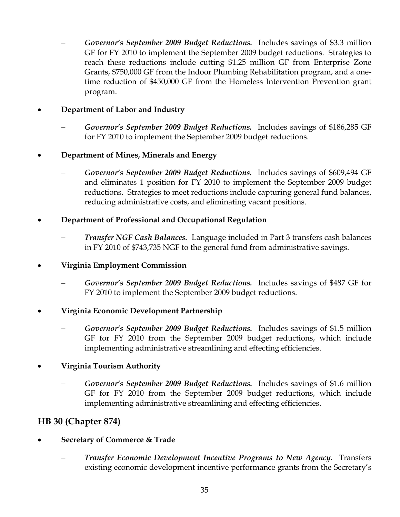− *Governor's September 2009 Budget Reductions.* Includes savings of \$3.3 million GF for FY 2010 to implement the September 2009 budget reductions. Strategies to reach these reductions include cutting \$1.25 million GF from Enterprise Zone Grants, \$750,000 GF from the Indoor Plumbing Rehabilitation program, and a onetime reduction of \$450,000 GF from the Homeless Intervention Prevention grant program.

## • **Department of Labor and Industry**

− *Governor's September 2009 Budget Reductions.* Includes savings of \$186,285 GF for FY 2010 to implement the September 2009 budget reductions.

## • **Department of Mines, Minerals and Energy**

− *Governor's September 2009 Budget Reductions.* Includes savings of \$609,494 GF and eliminates 1 position for FY 2010 to implement the September 2009 budget reductions. Strategies to meet reductions include capturing general fund balances, reducing administrative costs, and eliminating vacant positions.

## • **Department of Professional and Occupational Regulation**

− *Transfer NGF Cash Balances.* Language included in Part 3 transfers cash balances in FY 2010 of \$743,735 NGF to the general fund from administrative savings.

## • **Virginia Employment Commission**

− *Governor's September 2009 Budget Reductions.* Includes savings of \$487 GF for FY 2010 to implement the September 2009 budget reductions.

## • **Virginia Economic Development Partnership**

− *Governor's September 2009 Budget Reductions.* Includes savings of \$1.5 million GF for FY 2010 from the September 2009 budget reductions, which include implementing administrative streamlining and effecting efficiencies.

## • **Virginia Tourism Authority**

− *Governor's September 2009 Budget Reductions.* Includes savings of \$1.6 million GF for FY 2010 from the September 2009 budget reductions, which include implementing administrative streamlining and effecting efficiencies.

# **HB 30 (Chapter 874)**

- **Secretary of Commerce & Trade** 
	- − *Transfer Economic Development Incentive Programs to New Agency.* Transfers existing economic development incentive performance grants from the Secretary's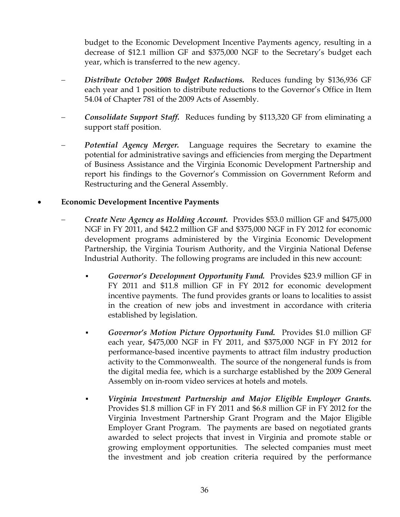budget to the Economic Development Incentive Payments agency, resulting in a decrease of \$12.1 million GF and \$375,000 NGF to the Secretary's budget each year, which is transferred to the new agency.

- − *Distribute October 2008 Budget Reductions.* Reduces funding by \$136,936 GF each year and 1 position to distribute reductions to the Governor's Office in Item 54.04 of Chapter 781 of the 2009 Acts of Assembly.
- − *Consolidate Support Staff.* Reduces funding by \$113,320 GF from eliminating a support staff position.
- *Potential Agency Merger.* Language requires the Secretary to examine the potential for administrative savings and efficiencies from merging the Department of Business Assistance and the Virginia Economic Development Partnership and report his findings to the Governor's Commission on Government Reform and Restructuring and the General Assembly.
- **Economic Development Incentive Payments** 
	- − *Create New Agency as Holding Account.* Provides \$53.0 million GF and \$475,000 NGF in FY 2011, and \$42.2 million GF and \$375,000 NGF in FY 2012 for economic development programs administered by the Virginia Economic Development Partnership, the Virginia Tourism Authority, and the Virginia National Defense Industrial Authority. The following programs are included in this new account:
		- *Governor's Development Opportunity Fund.* Provides \$23.9 million GF in FY 2011 and \$11.8 million GF in FY 2012 for economic development incentive payments. The fund provides grants or loans to localities to assist in the creation of new jobs and investment in accordance with criteria established by legislation.
		- *Governor's Motion Picture Opportunity Fund.* Provides \$1.0 million GF each year, \$475,000 NGF in FY 2011, and \$375,000 NGF in FY 2012 for performance-based incentive payments to attract film industry production activity to the Commonwealth. The source of the nongeneral funds is from the digital media fee, which is a surcharge established by the 2009 General Assembly on in-room video services at hotels and motels.
		- *Virginia Investment Partnership and Major Eligible Employer Grants.* Provides \$1.8 million GF in FY 2011 and \$6.8 million GF in FY 2012 for the Virginia Investment Partnership Grant Program and the Major Eligible Employer Grant Program. The payments are based on negotiated grants awarded to select projects that invest in Virginia and promote stable or growing employment opportunities. The selected companies must meet the investment and job creation criteria required by the performance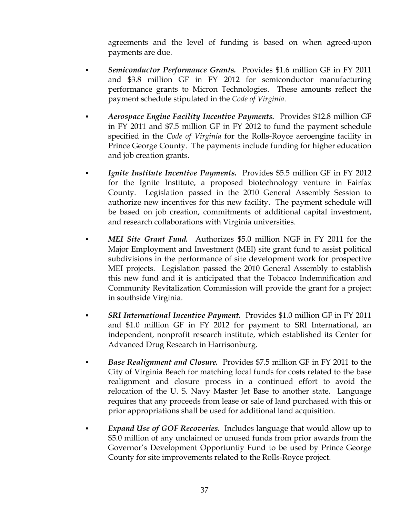agreements and the level of funding is based on when agreed-upon payments are due.

- *Semiconductor Performance Grants.* Provides \$1.6 million GF in FY 2011 and \$3.8 million GF in FY 2012 for semiconductor manufacturing performance grants to Micron Technologies. These amounts reflect the payment schedule stipulated in the *Code of Virginia*.
- *Aerospace Engine Facility Incentive Payments.* Provides \$12.8 million GF in FY 2011 and \$7.5 million GF in FY 2012 to fund the payment schedule specified in the *Code of Virginia* for the Rolls-Royce aeroengine facility in Prince George County. The payments include funding for higher education and job creation grants.
	- **Ignite Institute Incentive Payments.** Provides \$5.5 million GF in FY 2012 for the Ignite Institute, a proposed biotechnology venture in Fairfax County. Legislation passed in the 2010 General Assembly Session to authorize new incentives for this new facility. The payment schedule will be based on job creation, commitments of additional capital investment, and research collaborations with Virginia universities.
- *MEI Site Grant Fund.* Authorizes \$5.0 million NGF in FY 2011 for the Major Employment and Investment (MEI) site grant fund to assist political subdivisions in the performance of site development work for prospective MEI projects. Legislation passed the 2010 General Assembly to establish this new fund and it is anticipated that the Tobacco Indemnification and Community Revitalization Commission will provide the grant for a project in southside Virginia.
- **SRI International Incentive Payment.** Provides \$1.0 million GF in FY 2011 and \$1.0 million GF in FY 2012 for payment to SRI International, an independent, nonprofit research institute, which established its Center for Advanced Drug Research in Harrisonburg.
- *Base Realignment and Closure.*Provides \$7.5 million GF in FY 2011 to the City of Virginia Beach for matching local funds for costs related to the base realignment and closure process in a continued effort to avoid the relocation of the U. S. Navy Master Jet Base to another state. Language requires that any proceeds from lease or sale of land purchased with this or prior appropriations shall be used for additional land acquisition.
- *Expand Use of GOF Recoveries.* Includes language that would allow up to \$5.0 million of any unclaimed or unused funds from prior awards from the Governor's Development Opportuntiy Fund to be used by Prince George County for site improvements related to the Rolls-Royce project.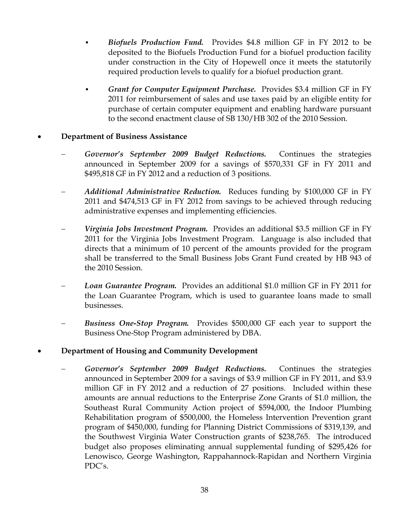- *Biofuels Production Fund.*Provides \$4.8 million GF in FY 2012 to be deposited to the Biofuels Production Fund for a biofuel production facility under construction in the City of Hopewell once it meets the statutorily required production levels to qualify for a biofuel production grant.
- *Grant for Computer Equipment Purchase.* Provides \$3.4 million GF in FY 2011 for reimbursement of sales and use taxes paid by an eligible entity for purchase of certain computer equipment and enabling hardware pursuant to the second enactment clause of SB 130/HB 302 of the 2010 Session.

#### • **Department of Business Assistance**

- − *Governor's September 2009 Budget Reductions.* Continues the strategies announced in September 2009 for a savings of \$570,331 GF in FY 2011 and \$495,818 GF in FY 2012 and a reduction of 3 positions.
- − *Additional Administrative Reduction.* Reduces funding by \$100,000 GF in FY 2011 and \$474,513 GF in FY 2012 from savings to be achieved through reducing administrative expenses and implementing efficiencies.
- − *Virginia Jobs Investment Program.* Provides an additional \$3.5 million GF in FY 2011 for the Virginia Jobs Investment Program. Language is also included that directs that a minimum of 10 percent of the amounts provided for the program shall be transferred to the Small Business Jobs Grant Fund created by HB 943 of the 2010 Session.
- − *Loan Guarantee Program.* Provides an additional \$1.0 million GF in FY 2011 for the Loan Guarantee Program, which is used to guarantee loans made to small businesses.
- *Business One-Stop Program.* Provides \$500,000 GF each year to support the Business One-Stop Program administered by DBA.

#### • **Department of Housing and Community Development**

− *Governor's September 2009 Budget Reductions.* Continues the strategies announced in September 2009 for a savings of \$3.9 million GF in FY 2011, and \$3.9 million GF in FY 2012 and a reduction of 27 positions. Included within these amounts are annual reductions to the Enterprise Zone Grants of \$1.0 million, the Southeast Rural Community Action project of \$594,000, the Indoor Plumbing Rehabilitation program of \$500,000, the Homeless Intervention Prevention grant program of \$450,000, funding for Planning District Commissions of \$319,139, and the Southwest Virginia Water Construction grants of \$238,765. The introduced budget also proposes eliminating annual supplemental funding of \$295,426 for Lenowisco, George Washington, Rappahannock-Rapidan and Northern Virginia PDC's.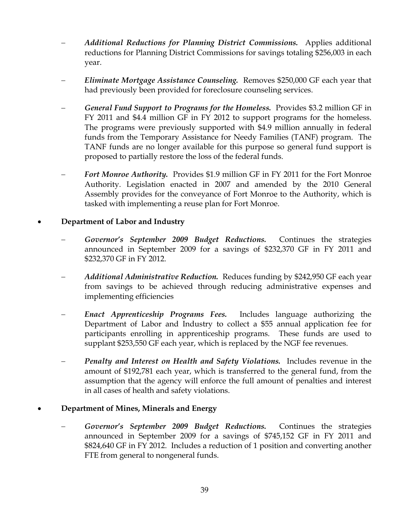- − *Additional Reductions for Planning District Commissions.* Applies additional reductions for Planning District Commissions for savings totaling \$256,003 in each year.
- − *Eliminate Mortgage Assistance Counseling.* Removes \$250,000 GF each year that had previously been provided for foreclosure counseling services.
- − *General Fund Support to Programs for the Homeless.* Provides \$3.2 million GF in FY 2011 and \$4.4 million GF in FY 2012 to support programs for the homeless. The programs were previously supported with \$4.9 million annually in federal funds from the Temporary Assistance for Needy Families (TANF) program. The TANF funds are no longer available for this purpose so general fund support is proposed to partially restore the loss of the federal funds.
- **Fort Monroe Authority.** Provides \$1.9 million GF in FY 2011 for the Fort Monroe Authority. Legislation enacted in 2007 and amended by the 2010 General Assembly provides for the conveyance of Fort Monroe to the Authority, which is tasked with implementing a reuse plan for Fort Monroe.

#### • **Department of Labor and Industry**

- Governor's September 2009 Budget Reductions. Continues the strategies announced in September 2009 for a savings of \$232,370 GF in FY 2011 and \$232,370 GF in FY 2012.
- − *Additional Administrative Reduction.* Reduces funding by \$242,950 GF each year from savings to be achieved through reducing administrative expenses and implementing efficiencies
- − *Enact Apprenticeship Programs Fees.* Includes language authorizing the Department of Labor and Industry to collect a \$55 annual application fee for participants enrolling in apprenticeship programs. These funds are used to supplant \$253,550 GF each year, which is replaced by the NGF fee revenues.
- **Penalty and Interest on Health and Safety Violations.** Includes revenue in the amount of \$192,781 each year, which is transferred to the general fund, from the assumption that the agency will enforce the full amount of penalties and interest in all cases of health and safety violations.

## • **Department of Mines, Minerals and Energy**

− *Governor's September 2009 Budget Reductions.* Continues the strategies announced in September 2009 for a savings of \$745,152 GF in FY 2011 and \$824,640 GF in FY 2012. Includes a reduction of 1 position and converting another FTE from general to nongeneral funds.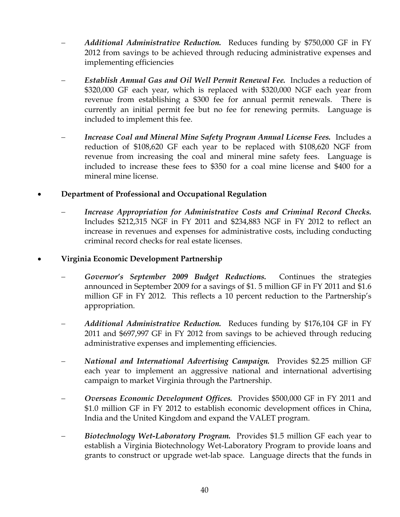- − *Additional Administrative Reduction.* Reduces funding by \$750,000 GF in FY 2012 from savings to be achieved through reducing administrative expenses and implementing efficiencies
- − *Establish Annual Gas and Oil Well Permit Renewal Fee.* Includes a reduction of \$320,000 GF each year, which is replaced with \$320,000 NGF each year from revenue from establishing a \$300 fee for annual permit renewals. There is currently an initial permit fee but no fee for renewing permits. Language is included to implement this fee.
- − *Increase Coal and Mineral Mine Safety Program Annual License Fees.* Includes a reduction of \$108,620 GF each year to be replaced with \$108,620 NGF from revenue from increasing the coal and mineral mine safety fees. Language is included to increase these fees to \$350 for a coal mine license and \$400 for a mineral mine license.

## • **Department of Professional and Occupational Regulation**

− *Increase Appropriation for Administrative Costs and Criminal Record Checks.*  Includes \$212,315 NGF in FY 2011 and \$234,883 NGF in FY 2012 to reflect an increase in revenues and expenses for administrative costs, including conducting criminal record checks for real estate licenses.

#### • **Virginia Economic Development Partnership**

- − *Governor's September 2009 Budget Reductions.* Continues the strategies announced in September 2009 for a savings of \$1. 5 million GF in FY 2011 and \$1.6 million GF in FY 2012. This reflects a 10 percent reduction to the Partnership's appropriation.
- − *Additional Administrative Reduction.* Reduces funding by \$176,104 GF in FY 2011 and \$697,997 GF in FY 2012 from savings to be achieved through reducing administrative expenses and implementing efficiencies.
- − *National and International Advertising Campaign.* Provides \$2.25 million GF each year to implement an aggressive national and international advertising campaign to market Virginia through the Partnership.
- − *Overseas Economic Development Offices.* Provides \$500,000 GF in FY 2011 and \$1.0 million GF in FY 2012 to establish economic development offices in China, India and the United Kingdom and expand the VALET program.
- − *Biotechnology Wet-Laboratory Program.* Provides \$1.5 million GF each year to establish a Virginia Biotechnology Wet-Laboratory Program to provide loans and grants to construct or upgrade wet-lab space. Language directs that the funds in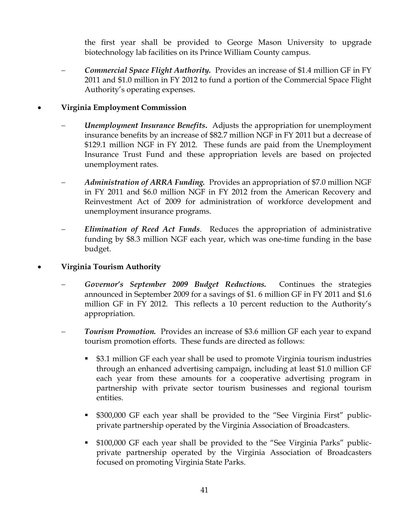the first year shall be provided to George Mason University to upgrade biotechnology lab facilities on its Prince William County campus.

− *Commercial Space Flight Authority.* Provides an increase of \$1.4 million GF in FY 2011 and \$1.0 million in FY 2012 to fund a portion of the Commercial Space Flight Authority's operating expenses.

## • **Virginia Employment Commission**

- *Unemployment Insurance Benefits.* Adjusts the appropriation for unemployment insurance benefits by an increase of \$82.7 million NGF in FY 2011 but a decrease of \$129.1 million NGF in FY 2012. These funds are paid from the Unemployment Insurance Trust Fund and these appropriation levels are based on projected unemployment rates.
- *Administration of ARRA Funding.* Provides an appropriation of \$7.0 million NGF in FY 2011 and \$6.0 million NGF in FY 2012 from the American Recovery and Reinvestment Act of 2009 for administration of workforce development and unemployment insurance programs.
- *Elimination of Reed Act Funds.* Reduces the appropriation of administrative funding by \$8.3 million NGF each year, which was one-time funding in the base budget.
- **Virginia Tourism Authority** 
	- − *Governor's September 2009 Budget Reductions.* Continues the strategies announced in September 2009 for a savings of \$1. 6 million GF in FY 2011 and \$1.6 million GF in FY 2012. This reflects a 10 percent reduction to the Authority's appropriation.
	- **Tourism Promotion.** Provides an increase of \$3.6 million GF each year to expand tourism promotion efforts. These funds are directed as follows:
		- \$3.1 million GF each year shall be used to promote Virginia tourism industries through an enhanced advertising campaign, including at least \$1.0 million GF each year from these amounts for a cooperative advertising program in partnership with private sector tourism businesses and regional tourism entities.
		- \$300,000 GF each year shall be provided to the "See Virginia First" publicprivate partnership operated by the Virginia Association of Broadcasters.
		- \$100,000 GF each year shall be provided to the "See Virginia Parks" publicprivate partnership operated by the Virginia Association of Broadcasters focused on promoting Virginia State Parks.